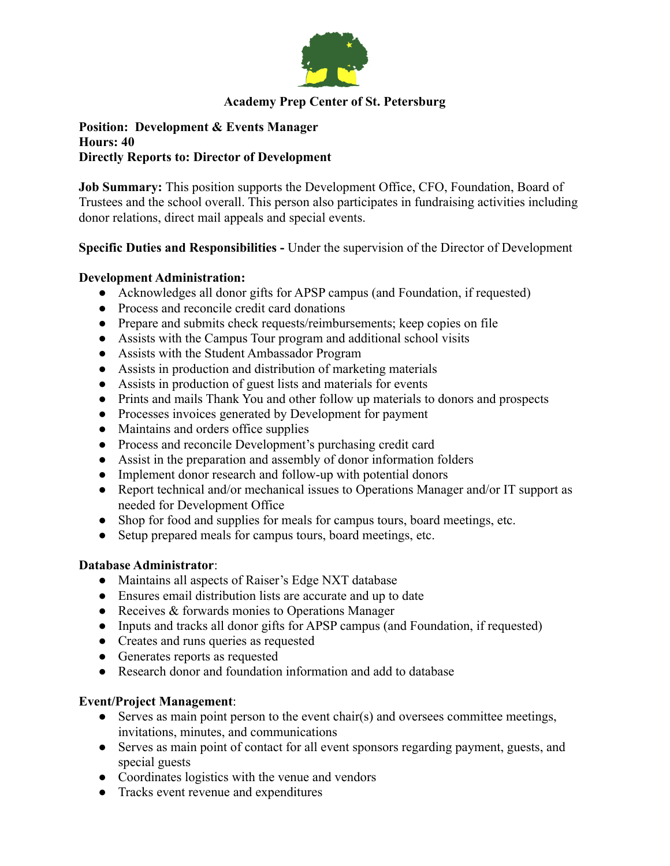

# **Academy Prep Center of St. Petersburg**

#### **Position: Development & Events Manager Hours: 40 Directly Reports to: Director of Development**

**Job Summary:** This position supports the Development Office, CFO, Foundation, Board of Trustees and the school overall. This person also participates in fundraising activities including donor relations, direct mail appeals and special events.

## **Specific Duties and Responsibilities -** Under the supervision of the Director of Development

### **Development Administration:**

- Acknowledges all donor gifts for APSP campus (and Foundation, if requested)
- Process and reconcile credit card donations
- Prepare and submits check requests/reimbursements; keep copies on file
- Assists with the Campus Tour program and additional school visits
- Assists with the Student Ambassador Program
- Assists in production and distribution of marketing materials
- Assists in production of guest lists and materials for events
- Prints and mails Thank You and other follow up materials to donors and prospects
- Processes invoices generated by Development for payment
- Maintains and orders office supplies
- Process and reconcile Development's purchasing credit card
- Assist in the preparation and assembly of donor information folders
- Implement donor research and follow-up with potential donors
- Report technical and/or mechanical issues to Operations Manager and/or IT support as needed for Development Office
- Shop for food and supplies for meals for campus tours, board meetings, etc.
- Setup prepared meals for campus tours, board meetings, etc.

### **Database Administrator**:

- Maintains all aspects of Raiser's Edge NXT database
- Ensures email distribution lists are accurate and up to date
- Receives & forwards monies to Operations Manager
- Inputs and tracks all donor gifts for APSP campus (and Foundation, if requested)
- Creates and runs queries as requested
- Generates reports as requested
- Research donor and foundation information and add to database

### **Event/Project Management**:

- Serves as main point person to the event chair(s) and oversees committee meetings, invitations, minutes, and communications
- Serves as main point of contact for all event sponsors regarding payment, guests, and special guests
- Coordinates logistics with the venue and vendors
- Tracks event revenue and expenditures